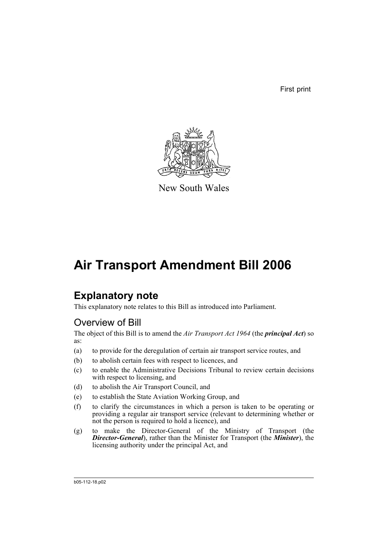First print



New South Wales

# **Air Transport Amendment Bill 2006**

# **Explanatory note**

This explanatory note relates to this Bill as introduced into Parliament.

# Overview of Bill

The object of this Bill is to amend the *Air Transport Act 1964* (the *principal Act*) so as:

- (a) to provide for the deregulation of certain air transport service routes, and
- (b) to abolish certain fees with respect to licences, and
- (c) to enable the Administrative Decisions Tribunal to review certain decisions with respect to licensing, and
- (d) to abolish the Air Transport Council, and
- (e) to establish the State Aviation Working Group, and
- (f) to clarify the circumstances in which a person is taken to be operating or providing a regular air transport service (relevant to determining whether or not the person is required to hold a licence), and
- (g) to make the Director-General of the Ministry of Transport (the *Director-General*), rather than the Minister for Transport (the *Minister*), the licensing authority under the principal Act, and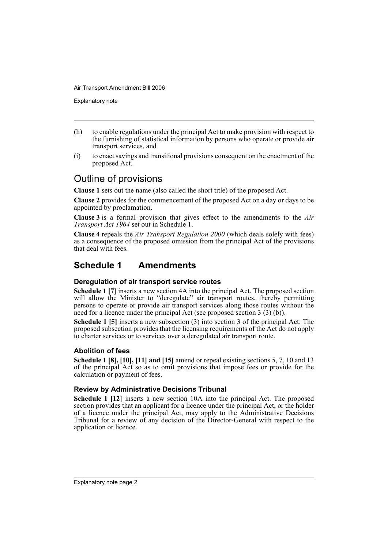Explanatory note

- (h) to enable regulations under the principal Act to make provision with respect to the furnishing of statistical information by persons who operate or provide air transport services, and
- (i) to enact savings and transitional provisions consequent on the enactment of the proposed Act.

# Outline of provisions

**Clause 1** sets out the name (also called the short title) of the proposed Act.

**Clause 2** provides for the commencement of the proposed Act on a day or days to be appointed by proclamation.

**Clause 3** is a formal provision that gives effect to the amendments to the *Air Transport Act 1964* set out in Schedule 1.

**Clause 4** repeals the *Air Transport Regulation 2000* (which deals solely with fees) as a consequence of the proposed omission from the principal Act of the provisions that deal with fees.

# **Schedule 1 Amendments**

### **Deregulation of air transport service routes**

**Schedule 1 [7]** inserts a new section 4A into the principal Act. The proposed section will allow the Minister to "deregulate" air transport routes, thereby permitting persons to operate or provide air transport services along those routes without the need for a licence under the principal Act (see proposed section 3 (3) (b)).

**Schedule 1 [5]** inserts a new subsection (3) into section 3 of the principal Act. The proposed subsection provides that the licensing requirements of the Act do not apply to charter services or to services over a deregulated air transport route.

### **Abolition of fees**

**Schedule 1 [8], [10], [11] and [15]** amend or repeal existing sections 5, 7, 10 and 13 of the principal Act so as to omit provisions that impose fees or provide for the calculation or payment of fees.

### **Review by Administrative Decisions Tribunal**

**Schedule 1 [12]** inserts a new section 10A into the principal Act. The proposed section provides that an applicant for a licence under the principal Act, or the holder of a licence under the principal Act, may apply to the Administrative Decisions Tribunal for a review of any decision of the Director-General with respect to the application or licence.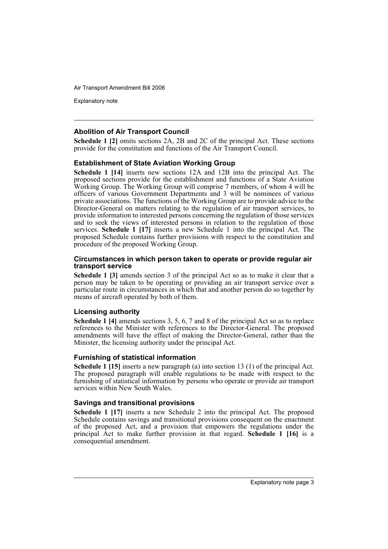Explanatory note

#### **Abolition of Air Transport Council**

**Schedule 1 [2]** omits sections 2A, 2B and 2C of the principal Act. These sections provide for the constitution and functions of the Air Transport Council.

#### **Establishment of State Aviation Working Group**

**Schedule 1 [14]** inserts new sections 12A and 12B into the principal Act. The proposed sections provide for the establishment and functions of a State Aviation Working Group. The Working Group will comprise 7 members, of whom 4 will be officers of various Government Departments and 3 will be nominees of various private associations. The functions of the Working Group are to provide advice to the Director-General on matters relating to the regulation of air transport services, to provide information to interested persons concerning the regulation of those services and to seek the views of interested persons in relation to the regulation of those services. **Schedule 1 [17]** inserts a new Schedule 1 into the principal Act. The proposed Schedule contains further provisions with respect to the constitution and procedure of the proposed Working Group.

#### **Circumstances in which person taken to operate or provide regular air transport service**

**Schedule 1 [3]** amends section 3 of the principal Act so as to make it clear that a person may be taken to be operating or providing an air transport service over a particular route in circumstances in which that and another person do so together by means of aircraft operated by both of them.

#### **Licensing authority**

**Schedule 1 [4]** amends sections 3, 5, 6, 7 and 8 of the principal Act so as to replace references to the Minister with references to the Director-General. The proposed amendments will have the effect of making the Director-General, rather than the Minister, the licensing authority under the principal Act.

#### **Furnishing of statistical information**

**Schedule 1 [15]** inserts a new paragraph (a) into section 13 (1) of the principal Act. The proposed paragraph will enable regulations to be made with respect to the furnishing of statistical information by persons who operate or provide air transport services within New South Wales.

#### **Savings and transitional provisions**

**Schedule 1 [17]** inserts a new Schedule 2 into the principal Act. The proposed Schedule contains savings and transitional provisions consequent on the enactment of the proposed Act, and a provision that empowers the regulations under the principal Act to make further provision in that regard. **Schedule 1 [16]** is a consequential amendment.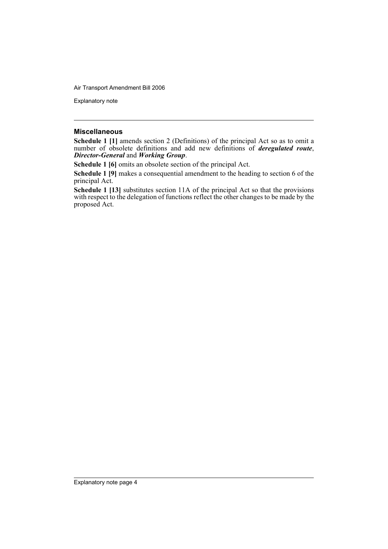Explanatory note

#### **Miscellaneous**

**Schedule 1 [1]** amends section 2 (Definitions) of the principal Act so as to omit a number of obsolete definitions and add new definitions of *deregulated route*, *Director-General* and *Working Group*.

**Schedule 1 [6]** omits an obsolete section of the principal Act.

**Schedule 1 [9]** makes a consequential amendment to the heading to section 6 of the principal Act.

**Schedule 1 [13]** substitutes section 11A of the principal Act so that the provisions with respect to the delegation of functions reflect the other changes to be made by the proposed Act.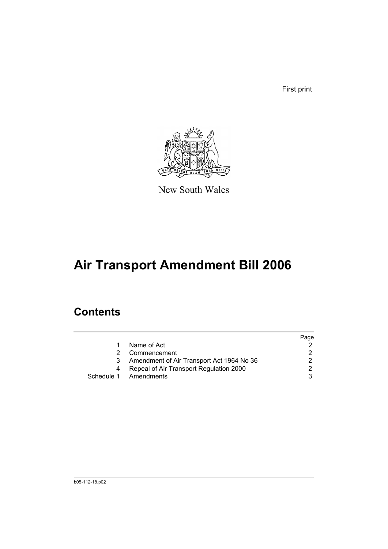First print



New South Wales

# **Air Transport Amendment Bill 2006**

# **Contents**

|   |                                           | Page |
|---|-------------------------------------------|------|
| 1 | Name of Act                               |      |
|   | Commencement                              |      |
| 3 | Amendment of Air Transport Act 1964 No 36 |      |
| 4 | Repeal of Air Transport Regulation 2000   |      |
|   | Schedule 1 Amendments                     |      |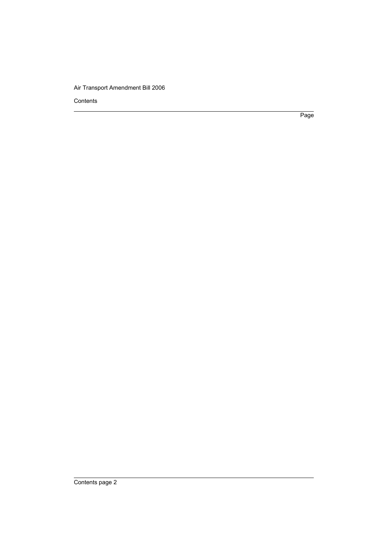Contents

Page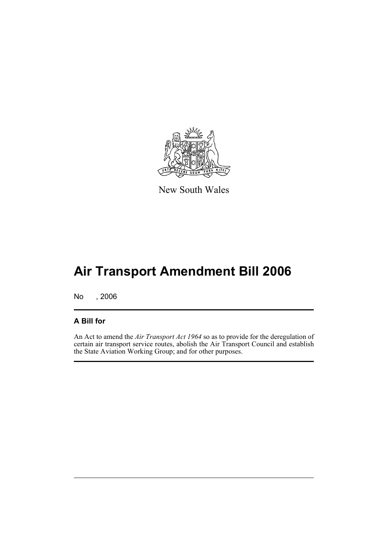

New South Wales

# **Air Transport Amendment Bill 2006**

No , 2006

## **A Bill for**

An Act to amend the *Air Transport Act 1964* so as to provide for the deregulation of certain air transport service routes, abolish the Air Transport Council and establish the State Aviation Working Group; and for other purposes.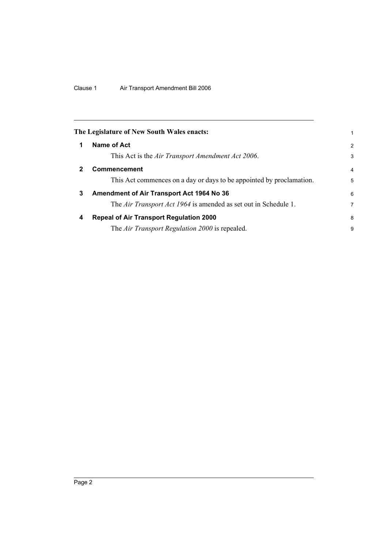<span id="page-7-3"></span><span id="page-7-2"></span><span id="page-7-1"></span><span id="page-7-0"></span>

|              | The Legislature of New South Wales enacts:                           | 1              |
|--------------|----------------------------------------------------------------------|----------------|
| 1            | Name of Act                                                          | 2              |
|              | This Act is the Air Transport Amendment Act 2006.                    | 3              |
| $\mathbf{2}$ | <b>Commencement</b>                                                  | $\overline{4}$ |
|              | This Act commences on a day or days to be appointed by proclamation. | 5              |
| 3            | Amendment of Air Transport Act 1964 No 36                            | 6              |
|              | The Air Transport Act 1964 is amended as set out in Schedule 1.      | 7              |
| 4            | <b>Repeal of Air Transport Regulation 2000</b>                       | 8              |
|              | The Air Transport Regulation 2000 is repealed.                       | 9              |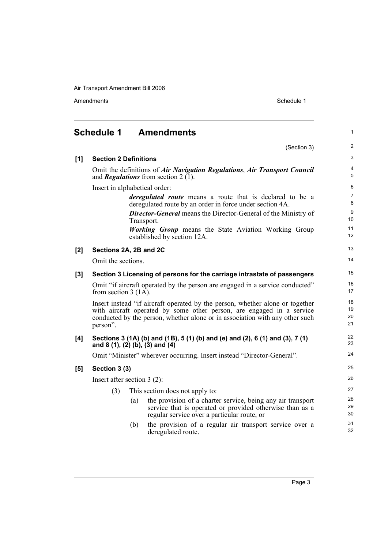<span id="page-8-0"></span>

|       | <b>Schedule 1</b>                                                        |     | <b>Amendments</b>                                                                                                                                                                                                                      | $\mathbf{1}$         |
|-------|--------------------------------------------------------------------------|-----|----------------------------------------------------------------------------------------------------------------------------------------------------------------------------------------------------------------------------------------|----------------------|
|       |                                                                          |     | (Section 3)                                                                                                                                                                                                                            | 2                    |
| [1]   | <b>Section 2 Definitions</b>                                             |     |                                                                                                                                                                                                                                        | 3                    |
|       |                                                                          |     | Omit the definitions of Air Navigation Regulations, Air Transport Council<br>and <b>Regulations</b> from section 2 $(1)$ .                                                                                                             | 4<br>5               |
|       | Insert in alphabetical order:                                            |     |                                                                                                                                                                                                                                        | 6                    |
|       |                                                                          |     | <i>deregulated route</i> means a route that is declared to be a<br>deregulated route by an order in force under section 4A.                                                                                                            | $\overline{7}$<br>8  |
|       |                                                                          |     | <b>Director-General</b> means the Director-General of the Ministry of<br>Transport.                                                                                                                                                    | 9<br>10              |
|       |                                                                          |     | <b>Working Group</b> means the State Aviation Working Group<br>established by section 12A.                                                                                                                                             | 11<br>12             |
| [2]   | Sections 2A, 2B and 2C                                                   |     |                                                                                                                                                                                                                                        | 13                   |
|       | Omit the sections.                                                       |     |                                                                                                                                                                                                                                        | 14                   |
| $[3]$ | Section 3 Licensing of persons for the carriage intrastate of passengers |     |                                                                                                                                                                                                                                        |                      |
|       | from section 3 $(1\overline{A})$ .                                       |     | Omit "if aircraft operated by the person are engaged in a service conducted"                                                                                                                                                           | 16<br>17             |
|       | person".                                                                 |     | Insert instead "if aircraft operated by the person, whether alone or together<br>with aircraft operated by some other person, are engaged in a service<br>conducted by the person, whether alone or in association with any other such | 18<br>19<br>20<br>21 |
| [4]   |                                                                          |     | Sections 3 (1A) (b) and (1B), 5 (1) (b) and (e) and (2), 6 (1) and (3), 7 (1)<br>and 8 (1), (2) (b), (3) and (4)                                                                                                                       | 22<br>23             |
|       |                                                                          |     | Omit "Minister" wherever occurring. Insert instead "Director-General".                                                                                                                                                                 | 24                   |
| [5]   | Section 3 (3)                                                            |     |                                                                                                                                                                                                                                        | 25                   |
|       | Insert after section $3(2)$ :                                            |     |                                                                                                                                                                                                                                        | 26                   |
|       | (3)                                                                      |     | This section does not apply to:                                                                                                                                                                                                        | 27                   |
|       |                                                                          | (a) | the provision of a charter service, being any air transport<br>service that is operated or provided otherwise than as a<br>regular service over a particular route, or                                                                 | 28<br>29<br>30       |
|       |                                                                          | (b) | the provision of a regular air transport service over a<br>deregulated route.                                                                                                                                                          | 31<br>32             |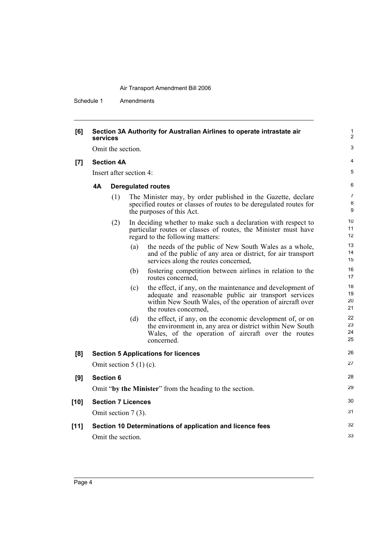| [6]    | Section 3A Authority for Australian Airlines to operate intrastate air<br>services |                   |                           |                                                                                                                                                                                                          |                      |  |  |  |
|--------|------------------------------------------------------------------------------------|-------------------|---------------------------|----------------------------------------------------------------------------------------------------------------------------------------------------------------------------------------------------------|----------------------|--|--|--|
|        |                                                                                    | Omit the section. |                           |                                                                                                                                                                                                          |                      |  |  |  |
| [7]    | <b>Section 4A</b>                                                                  |                   |                           |                                                                                                                                                                                                          |                      |  |  |  |
|        | Insert after section 4:                                                            |                   |                           |                                                                                                                                                                                                          |                      |  |  |  |
|        | 4А                                                                                 |                   |                           | <b>Deregulated routes</b>                                                                                                                                                                                | 6                    |  |  |  |
|        |                                                                                    | (1)               |                           | The Minister may, by order published in the Gazette, declare<br>specified routes or classes of routes to be deregulated routes for<br>the purposes of this Act.                                          | 7<br>8<br>9          |  |  |  |
|        |                                                                                    | (2)               |                           | In deciding whether to make such a declaration with respect to<br>particular routes or classes of routes, the Minister must have<br>regard to the following matters:                                     | 10<br>11<br>12       |  |  |  |
|        |                                                                                    |                   | (a)                       | the needs of the public of New South Wales as a whole,<br>and of the public of any area or district, for air transport<br>services along the routes concerned,                                           | 13<br>14<br>15       |  |  |  |
|        |                                                                                    |                   | (b)                       | fostering competition between airlines in relation to the<br>routes concerned,                                                                                                                           | 16<br>17             |  |  |  |
|        |                                                                                    |                   | (c)                       | the effect, if any, on the maintenance and development of<br>adequate and reasonable public air transport services<br>within New South Wales, of the operation of aircraft over<br>the routes concerned, | 18<br>19<br>20<br>21 |  |  |  |
|        |                                                                                    |                   | (d)                       | the effect, if any, on the economic development of, or on<br>the environment in, any area or district within New South<br>Wales, of the operation of aircraft over the routes<br>concerned.              | 22<br>23<br>24<br>25 |  |  |  |
| [8]    |                                                                                    |                   |                           | <b>Section 5 Applications for licences</b>                                                                                                                                                               | 26                   |  |  |  |
|        |                                                                                    |                   | Omit section $5(1)(c)$ .  |                                                                                                                                                                                                          | 27                   |  |  |  |
| [9]    |                                                                                    | <b>Section 6</b>  |                           |                                                                                                                                                                                                          | 28                   |  |  |  |
|        |                                                                                    |                   |                           | Omit "by the Minister" from the heading to the section.                                                                                                                                                  | 29                   |  |  |  |
| $[10]$ |                                                                                    |                   | <b>Section 7 Licences</b> |                                                                                                                                                                                                          | 30                   |  |  |  |
|        |                                                                                    |                   | Omit section 7 (3).       |                                                                                                                                                                                                          | 31                   |  |  |  |
| $[11]$ |                                                                                    | Omit the section. |                           | Section 10 Determinations of application and licence fees                                                                                                                                                | 32<br>33             |  |  |  |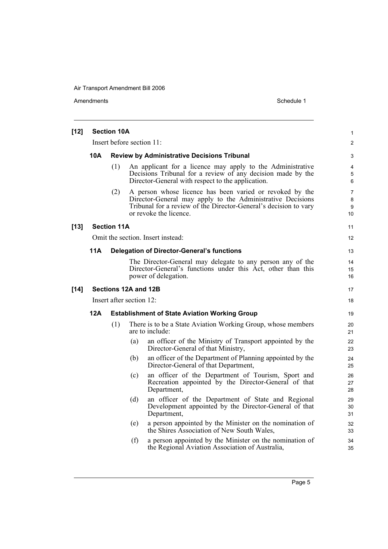| $[12]$ |                          | <b>Section 10A</b>                                 |                      |                                                                                                                                                                                                                      | $\mathbf{1}$                   |  |
|--------|--------------------------|----------------------------------------------------|----------------------|----------------------------------------------------------------------------------------------------------------------------------------------------------------------------------------------------------------------|--------------------------------|--|
|        |                          |                                                    |                      | Insert before section 11:                                                                                                                                                                                            | $\overline{2}$                 |  |
|        | 10A                      | <b>Review by Administrative Decisions Tribunal</b> |                      |                                                                                                                                                                                                                      |                                |  |
|        |                          | (1)                                                |                      | An applicant for a licence may apply to the Administrative<br>Decisions Tribunal for a review of any decision made by the<br>Director-General with respect to the application.                                       | 4<br>5<br>6                    |  |
|        |                          | (2)                                                |                      | A person whose licence has been varied or revoked by the<br>Director-General may apply to the Administrative Decisions<br>Tribunal for a review of the Director-General's decision to vary<br>or revoke the licence. | $\overline{7}$<br>8<br>9<br>10 |  |
| $[13]$ |                          | <b>Section 11A</b>                                 |                      |                                                                                                                                                                                                                      | 11                             |  |
|        |                          |                                                    |                      | Omit the section. Insert instead:                                                                                                                                                                                    | 12                             |  |
|        | <b>11A</b>               |                                                    |                      | <b>Delegation of Director-General's functions</b>                                                                                                                                                                    | 13                             |  |
|        |                          |                                                    |                      | The Director-General may delegate to any person any of the<br>Director-General's functions under this Act, other than this<br>power of delegation.                                                                   | 14<br>15<br>16                 |  |
| $[14]$ |                          |                                                    | Sections 12A and 12B |                                                                                                                                                                                                                      | 17                             |  |
|        | Insert after section 12: |                                                    |                      |                                                                                                                                                                                                                      |                                |  |
|        | 12A                      |                                                    |                      | <b>Establishment of State Aviation Working Group</b>                                                                                                                                                                 | 19                             |  |
|        |                          | (1)                                                |                      | There is to be a State Aviation Working Group, whose members<br>are to include:                                                                                                                                      | 20<br>21                       |  |
|        |                          |                                                    | (a)                  | an officer of the Ministry of Transport appointed by the<br>Director-General of that Ministry,                                                                                                                       | 22<br>23                       |  |
|        |                          |                                                    | (b)                  | an officer of the Department of Planning appointed by the<br>Director-General of that Department,                                                                                                                    | 24<br>25                       |  |
|        |                          |                                                    | (c)                  | an officer of the Department of Tourism, Sport and<br>Recreation appointed by the Director-General of that<br>Department,                                                                                            | 26<br>27<br>28                 |  |
|        |                          |                                                    | (d)                  | an officer of the Department of State and Regional<br>Development appointed by the Director-General of that<br>Department,                                                                                           | 29<br>30<br>31                 |  |
|        |                          |                                                    | (e)                  | a person appointed by the Minister on the nomination of<br>the Shires Association of New South Wales,                                                                                                                | 32<br>33                       |  |
|        |                          |                                                    | (f)                  | a person appointed by the Minister on the nomination of<br>the Regional Aviation Association of Australia,                                                                                                           | 34<br>35                       |  |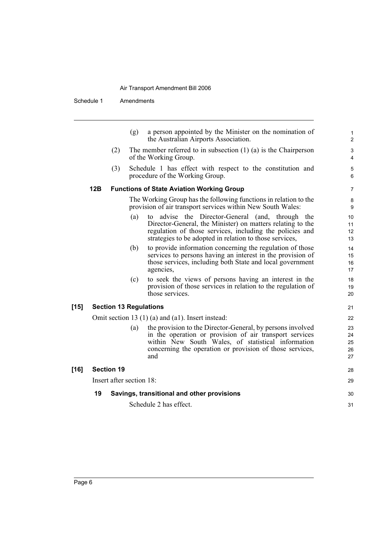|        |     |                          | (g) | a person appointed by the Minister on the nomination of<br>the Australian Airports Association.                                                                                                                                                |
|--------|-----|--------------------------|-----|------------------------------------------------------------------------------------------------------------------------------------------------------------------------------------------------------------------------------------------------|
|        |     | (2)                      |     | The member referred to in subsection $(1)$ $(a)$ is the Chairperson<br>of the Working Group.                                                                                                                                                   |
|        |     | (3)                      |     | Schedule 1 has effect with respect to the constitution and<br>procedure of the Working Group.                                                                                                                                                  |
|        | 12B |                          |     | <b>Functions of State Aviation Working Group</b>                                                                                                                                                                                               |
|        |     |                          |     | The Working Group has the following functions in relation to the<br>provision of air transport services within New South Wales:                                                                                                                |
|        |     |                          | (a) | to advise the Director-General (and, through<br>the<br>Director-General, the Minister) on matters relating to the<br>regulation of those services, including the policies and<br>strategies to be adopted in relation to those services,       |
|        |     |                          | (b) | to provide information concerning the regulation of those<br>services to persons having an interest in the provision of<br>those services, including both State and local government<br>agencies,                                              |
|        |     |                          | (c) | to seek the views of persons having an interest in the<br>provision of those services in relation to the regulation of<br>those services.                                                                                                      |
| $[15]$ |     |                          |     | <b>Section 13 Regulations</b>                                                                                                                                                                                                                  |
|        |     |                          |     | Omit section 13 $(1)$ (a) and (a1). Insert instead:                                                                                                                                                                                            |
|        |     |                          | (a) | the provision to the Director-General, by persons involved<br>in the operation or provision of air transport services<br>within New South Wales, of statistical information<br>concerning the operation or provision of those services,<br>and |
| $[16]$ |     | <b>Section 19</b>        |     |                                                                                                                                                                                                                                                |
|        |     | Insert after section 18: |     |                                                                                                                                                                                                                                                |
|        | 19  |                          |     | Savings, transitional and other provisions                                                                                                                                                                                                     |
|        |     |                          |     | Schedule 2 has effect.                                                                                                                                                                                                                         |
|        |     |                          |     |                                                                                                                                                                                                                                                |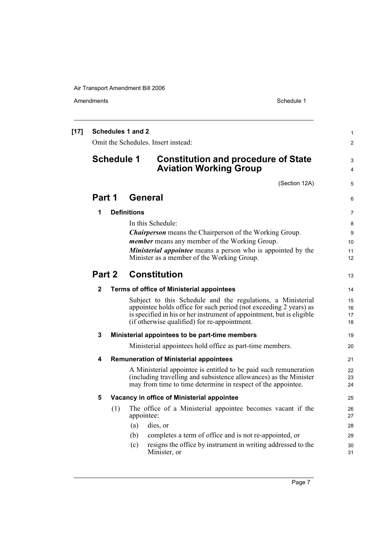| $[17]$ | <b>Schedules 1 and 2</b><br>Omit the Schedules. Insert instead: |     |                    |                                                                                                                                                                                                                                                           |                      |
|--------|-----------------------------------------------------------------|-----|--------------------|-----------------------------------------------------------------------------------------------------------------------------------------------------------------------------------------------------------------------------------------------------------|----------------------|
|        | <b>Schedule 1</b>                                               |     |                    | <b>Constitution and procedure of State</b><br><b>Aviation Working Group</b>                                                                                                                                                                               | 3<br>4               |
|        |                                                                 |     |                    | (Section 12A)                                                                                                                                                                                                                                             | 5                    |
|        | Part 1                                                          |     | <b>General</b>     |                                                                                                                                                                                                                                                           | 6                    |
|        | 1                                                               |     | <b>Definitions</b> |                                                                                                                                                                                                                                                           | 7                    |
|        |                                                                 |     |                    | In this Schedule:                                                                                                                                                                                                                                         | 8                    |
|        |                                                                 |     |                    | <b>Chairperson</b> means the Chairperson of the Working Group.                                                                                                                                                                                            | 9                    |
|        |                                                                 |     |                    | <i>member</i> means any member of the Working Group.                                                                                                                                                                                                      | 10                   |
|        |                                                                 |     |                    | <b>Ministerial appointee</b> means a person who is appointed by the                                                                                                                                                                                       | 11                   |
|        |                                                                 |     |                    | Minister as a member of the Working Group.                                                                                                                                                                                                                | 12                   |
|        | <b>Constitution</b><br>Part 2                                   |     |                    |                                                                                                                                                                                                                                                           | 13                   |
|        | 2                                                               |     |                    | Terms of office of Ministerial appointees                                                                                                                                                                                                                 | 14                   |
|        |                                                                 |     |                    | Subject to this Schedule and the regulations, a Ministerial<br>appointee holds office for such period (not exceeding 2 years) as<br>is specified in his or her instrument of appointment, but is eligible<br>(if otherwise qualified) for re-appointment. | 15<br>16<br>17<br>18 |
|        | 3                                                               |     |                    | Ministerial appointees to be part-time members                                                                                                                                                                                                            | 19                   |
|        |                                                                 |     |                    | Ministerial appointees hold office as part-time members.                                                                                                                                                                                                  | 20                   |
|        | 4                                                               |     |                    | <b>Remuneration of Ministerial appointees</b>                                                                                                                                                                                                             | 21                   |
|        |                                                                 |     |                    | A Ministerial appointee is entitled to be paid such remuneration<br>(including travelling and subsistence allowances) as the Minister<br>may from time to time determine in respect of the appointee.                                                     | 22<br>23<br>24       |
|        | 5                                                               |     |                    | Vacancy in office of Ministerial appointee                                                                                                                                                                                                                | 25                   |
|        |                                                                 | (1) | appointee:         | The office of a Ministerial appointee becomes vacant if the                                                                                                                                                                                               | 26<br>27             |
|        |                                                                 |     | (a)                | dies, or                                                                                                                                                                                                                                                  | 28                   |
|        |                                                                 |     | (b)                | completes a term of office and is not re-appointed, or                                                                                                                                                                                                    | 29                   |
|        |                                                                 |     | (c)                | resigns the office by instrument in writing addressed to the<br>Minister, or                                                                                                                                                                              | 30<br>31             |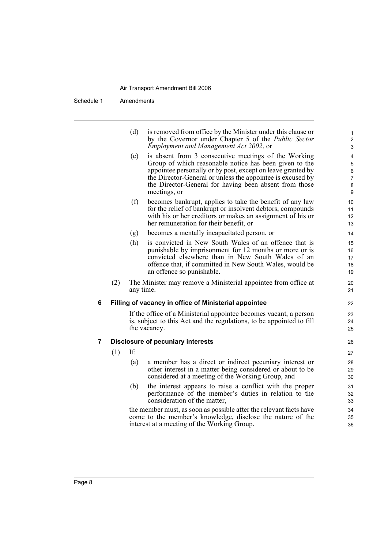|   |     | (d)       | is removed from office by the Minister under this clause or<br>by the Governor under Chapter 5 of the Public Sector<br>Employment and Management Act 2002, or                                                                                                                                                         | 1<br>$\overline{2}$<br>3             |
|---|-----|-----------|-----------------------------------------------------------------------------------------------------------------------------------------------------------------------------------------------------------------------------------------------------------------------------------------------------------------------|--------------------------------------|
|   |     | (e)       | is absent from 3 consecutive meetings of the Working<br>Group of which reasonable notice has been given to the<br>appointee personally or by post, except on leave granted by<br>the Director-General or unless the appointee is excused by<br>the Director-General for having been absent from those<br>meetings, or | 4<br>$\mathbf 5$<br>6<br>7<br>8<br>9 |
|   |     | (f)       | becomes bankrupt, applies to take the benefit of any law<br>for the relief of bankrupt or insolvent debtors, compounds<br>with his or her creditors or makes an assignment of his or<br>her remuneration for their benefit, or                                                                                        | 10<br>11<br>12<br>13                 |
|   |     | (g)       | becomes a mentally incapacitated person, or                                                                                                                                                                                                                                                                           | 14                                   |
|   |     | (h)       | is convicted in New South Wales of an offence that is<br>punishable by imprisonment for 12 months or more or is<br>convicted elsewhere than in New South Wales of an<br>offence that, if committed in New South Wales, would be<br>an offence so punishable.                                                          | 15<br>16<br>17<br>18<br>19           |
|   | (2) | any time. | The Minister may remove a Ministerial appointee from office at                                                                                                                                                                                                                                                        | 20<br>21                             |
| 6 |     |           | Filling of vacancy in office of Ministerial appointee                                                                                                                                                                                                                                                                 | 22                                   |
|   |     |           | If the office of a Ministerial appointee becomes vacant, a person<br>is, subject to this Act and the regulations, to be appointed to fill<br>the vacancy.                                                                                                                                                             | 23<br>24<br>25                       |
| 7 |     |           | <b>Disclosure of pecuniary interests</b>                                                                                                                                                                                                                                                                              | 26                                   |
|   | (1) | If:       |                                                                                                                                                                                                                                                                                                                       | 27                                   |
|   |     | (a)       | a member has a direct or indirect pecuniary interest or<br>other interest in a matter being considered or about to be<br>considered at a meeting of the Working Group, and                                                                                                                                            | 28<br>29<br>30                       |
|   |     | (b)       | the interest appears to raise a conflict with the proper<br>performance of the member's duties in relation to the<br>consideration of the matter,                                                                                                                                                                     | 31<br>32<br>33                       |
|   |     |           | the member must, as soon as possible after the relevant facts have<br>come to the member's knowledge, disclose the nature of the<br>interest at a meeting of the Working Group.                                                                                                                                       | 34<br>35<br>36                       |
|   |     |           |                                                                                                                                                                                                                                                                                                                       |                                      |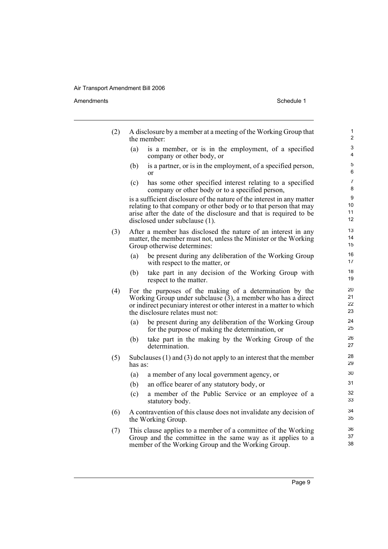#### Amendments Schedule 1

| (2) | the member:                      | A disclosure by a member at a meeting of the Working Group that                                                                                                                                                  | $\mathbf{1}$<br>$\overline{c}$ |
|-----|----------------------------------|------------------------------------------------------------------------------------------------------------------------------------------------------------------------------------------------------------------|--------------------------------|
|     | (a)<br>company or other body, or | is a member, or is in the employment, of a specified                                                                                                                                                             | 3<br>4                         |
|     | (b)<br>or                        | is a partner, or is in the employment, of a specified person,                                                                                                                                                    | 5<br>6                         |
|     | (c)                              | has some other specified interest relating to a specified<br>company or other body or to a specified person,                                                                                                     | $\overline{7}$<br>8            |
|     | disclosed under subclause (1).   | is a sufficient disclosure of the nature of the interest in any matter<br>relating to that company or other body or to that person that may<br>arise after the date of the disclosure and that is required to be | 9<br>10<br>11<br>12            |
| (3) | Group otherwise determines:      | After a member has disclosed the nature of an interest in any<br>matter, the member must not, unless the Minister or the Working                                                                                 | 13<br>14<br>15                 |
|     | (a)                              | be present during any deliberation of the Working Group<br>with respect to the matter, or                                                                                                                        | 16<br>17                       |
|     | (b)<br>respect to the matter.    | take part in any decision of the Working Group with                                                                                                                                                              | 18<br>19                       |
| (4) | the disclosure relates must not: | For the purposes of the making of a determination by the<br>Working Group under subclause $(3)$ , a member who has a direct<br>or indirect pecuniary interest or other interest in a matter to which             | 20<br>21<br>22<br>23           |
|     | (a)                              | be present during any deliberation of the Working Group<br>for the purpose of making the determination, or                                                                                                       | 24<br>25                       |
|     | (b)<br>determination.            | take part in the making by the Working Group of the                                                                                                                                                              | 26<br>27                       |
| (5) | has as:                          | Subclauses $(1)$ and $(3)$ do not apply to an interest that the member                                                                                                                                           | 28<br>29                       |
|     | (a)                              | a member of any local government agency, or                                                                                                                                                                      | 30                             |
|     | (b)                              | an office bearer of any statutory body, or                                                                                                                                                                       | 31                             |
|     | (c)<br>statutory body.           | a member of the Public Service or an employee of a                                                                                                                                                               | 32<br>33                       |
| (6) | the Working Group.               | A contravention of this clause does not invalidate any decision of                                                                                                                                               | 34<br>35                       |
| (7) |                                  | This clause applies to a member of a committee of the Working<br>Group and the committee in the same way as it applies to a                                                                                      | 36<br>37                       |

member of the Working Group and the Working Group.

38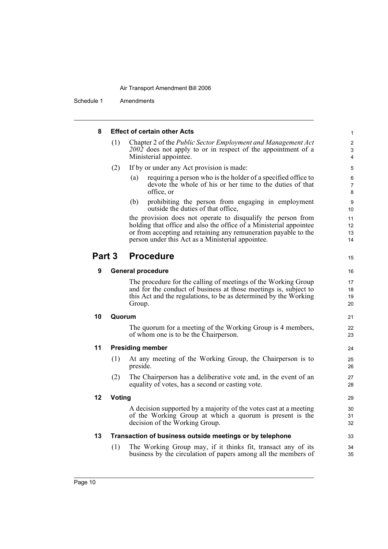Schedule 1 Amendments

| 8      |               | <b>Effect of certain other Acts</b>                                                                                                                                                                                                                        |  |
|--------|---------------|------------------------------------------------------------------------------------------------------------------------------------------------------------------------------------------------------------------------------------------------------------|--|
|        | (1)           | Chapter 2 of the Public Sector Employment and Management Act<br>2002 does not apply to or in respect of the appointment of a<br>Ministerial appointee.                                                                                                     |  |
|        | (2)           | If by or under any Act provision is made:                                                                                                                                                                                                                  |  |
|        |               | requiring a person who is the holder of a specified office to<br>(a)<br>devote the whole of his or her time to the duties of that<br>office, or                                                                                                            |  |
|        |               | prohibiting the person from engaging in employment<br>(b)<br>outside the duties of that office,                                                                                                                                                            |  |
|        |               | the provision does not operate to disqualify the person from<br>holding that office and also the office of a Ministerial appointee<br>or from accepting and retaining any remuneration payable to the<br>person under this Act as a Ministerial appointee. |  |
| Part 3 |               | <b>Procedure</b>                                                                                                                                                                                                                                           |  |
| 9      |               | <b>General procedure</b>                                                                                                                                                                                                                                   |  |
|        |               | The procedure for the calling of meetings of the Working Group<br>and for the conduct of business at those meetings is, subject to<br>this Act and the regulations, to be as determined by the Working<br>Group.                                           |  |
| 10     | Quorum        |                                                                                                                                                                                                                                                            |  |
|        |               | The quorum for a meeting of the Working Group is 4 members,<br>of whom one is to be the Chairperson.                                                                                                                                                       |  |
| 11     |               | <b>Presiding member</b>                                                                                                                                                                                                                                    |  |
|        | (1)           | At any meeting of the Working Group, the Chairperson is to<br>preside.                                                                                                                                                                                     |  |
|        | (2)           | The Chairperson has a deliberative vote and, in the event of an<br>equality of votes, has a second or casting vote.                                                                                                                                        |  |
| 12     | <b>Voting</b> |                                                                                                                                                                                                                                                            |  |
|        |               | A decision supported by a majority of the votes cast at a meeting<br>of the Working Group at which a quorum is present is the<br>decision of the Working Group.                                                                                            |  |
| 13     |               | Transaction of business outside meetings or by telephone                                                                                                                                                                                                   |  |
|        | (1)           | The Working Group may, if it thinks fit, transact any of its<br>business by the circulation of papers among all the members of                                                                                                                             |  |
|        |               |                                                                                                                                                                                                                                                            |  |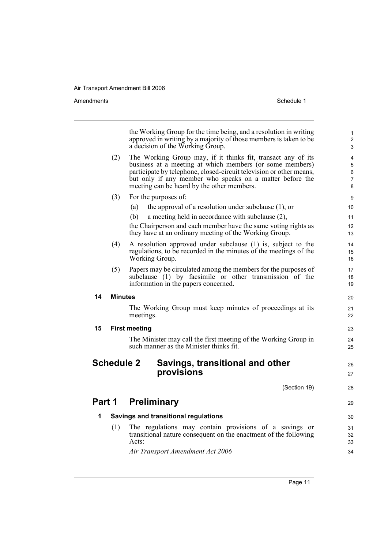|        |                   | the Working Group for the time being, and a resolution in writing<br>approved in writing by a majority of those members is taken to be<br>a decision of the Working Group.                                                                                                                                | $\mathbf{1}$<br>2<br>3                          |
|--------|-------------------|-----------------------------------------------------------------------------------------------------------------------------------------------------------------------------------------------------------------------------------------------------------------------------------------------------------|-------------------------------------------------|
|        | (2)               | The Working Group may, if it thinks fit, transact any of its<br>business at a meeting at which members (or some members)<br>participate by telephone, closed-circuit television or other means,<br>but only if any member who speaks on a matter before the<br>meeting can be heard by the other members. | $\overline{4}$<br>5<br>6<br>$\overline{7}$<br>8 |
|        | (3)               | For the purposes of:                                                                                                                                                                                                                                                                                      | 9                                               |
|        |                   | the approval of a resolution under subclause $(1)$ , or<br>(a)                                                                                                                                                                                                                                            | 10                                              |
|        |                   | (b)<br>a meeting held in accordance with subclause (2),<br>the Chairperson and each member have the same voting rights as<br>they have at an ordinary meeting of the Working Group.                                                                                                                       | 11<br>12<br>13                                  |
|        | (4)               | A resolution approved under subclause (1) is, subject to the<br>regulations, to be recorded in the minutes of the meetings of the<br>Working Group.                                                                                                                                                       | 14<br>15<br>16                                  |
|        | (5)               | Papers may be circulated among the members for the purposes of<br>subclause (1) by facsimile or other transmission of the<br>information in the papers concerned.                                                                                                                                         | 17<br>18<br>19                                  |
| 14     | <b>Minutes</b>    |                                                                                                                                                                                                                                                                                                           | 20                                              |
|        |                   | The Working Group must keep minutes of proceedings at its<br>meetings.                                                                                                                                                                                                                                    | 21<br>22                                        |
| 15     |                   | <b>First meeting</b>                                                                                                                                                                                                                                                                                      | 23                                              |
|        |                   | The Minister may call the first meeting of the Working Group in<br>such manner as the Minister thinks fit.                                                                                                                                                                                                | 24<br>25                                        |
|        | <b>Schedule 2</b> | Savings, transitional and other<br>provisions                                                                                                                                                                                                                                                             | 26<br>27                                        |
|        |                   | (Section 19)                                                                                                                                                                                                                                                                                              | 28                                              |
| Part 1 |                   | <b>Preliminary</b>                                                                                                                                                                                                                                                                                        | 29                                              |
| 1      |                   | <b>Savings and transitional regulations</b>                                                                                                                                                                                                                                                               | 30                                              |
|        | (1)               | The regulations may contain provisions of a savings or<br>transitional nature consequent on the enactment of the following<br>Acts:                                                                                                                                                                       | 31<br>32<br>33                                  |
|        |                   | Air Transport Amendment Act 2006                                                                                                                                                                                                                                                                          | 34                                              |
|        |                   |                                                                                                                                                                                                                                                                                                           |                                                 |